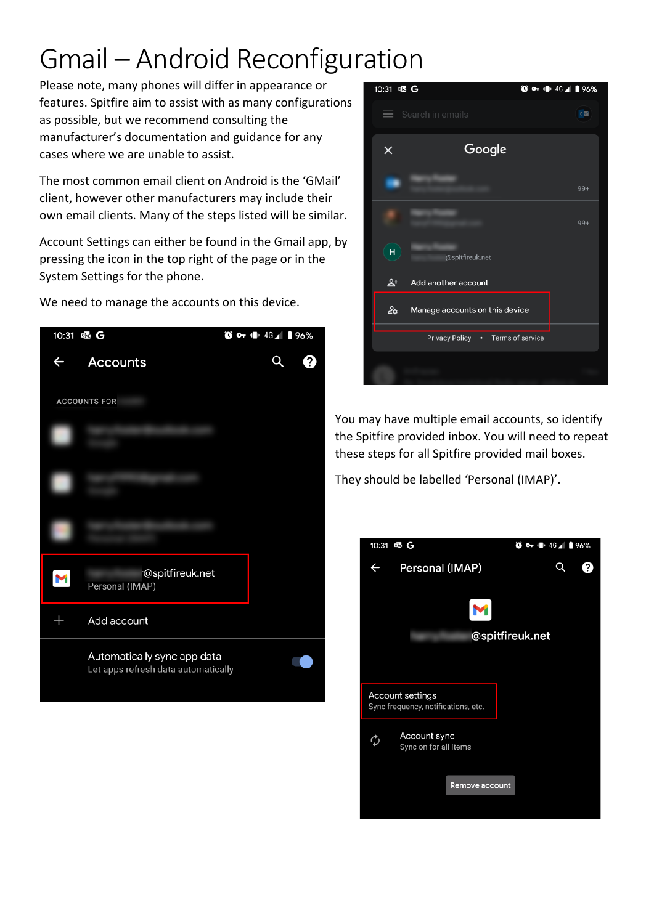## Gmail – Android Reconfiguration

Please note, many phones will differ in appearance or features. Spitfire aim to assist with as many configurations as possible, but we recommend consulting the manufacturer's documentation and guidance for any cases where we are unable to assist.

The most common email client on Android is the 'GMail' client, however other manufacturers may include their own email clients. Many of the steps listed will be similar.

Account Settings can either be found in the Gmail app, by pressing the icon in the top right of the page or in the System Settings for the phone.



We need to manage the accounts on this device.



You may have multiple email accounts, so identify the Spitfire provided inbox. You will need to repeat these steps for all Spitfire provided mail boxes.

They should be labelled 'Personal (IMAP)'.